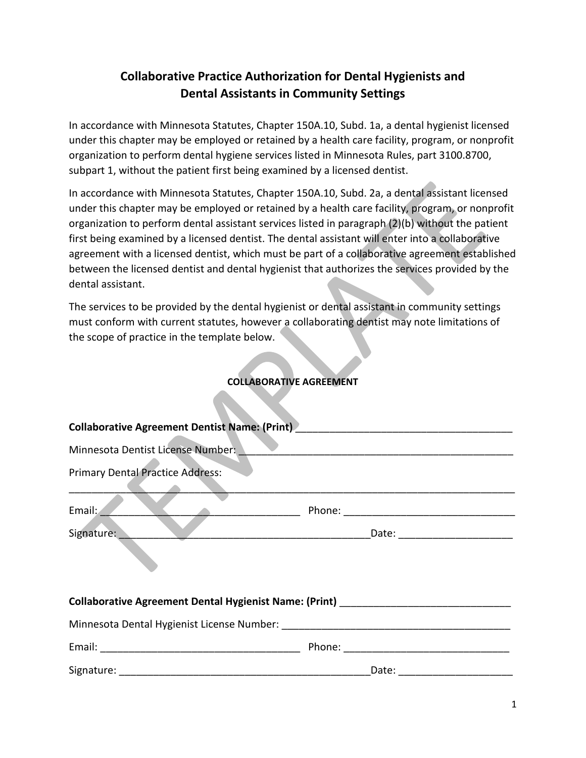## **Collaborative Practice Authorization for Dental Hygienists and Dental Assistants in Community Settings**

In accordance with Minnesota Statutes, Chapter 150A.10, Subd. 1a, a dental hygienist licensed under this chapter may be employed or retained by a health care facility, program, or nonprofit organization to perform dental hygiene services listed in Minnesota Rules, part 3100.8700, subpart 1, without the patient first being examined by a licensed dentist.

In accordance with Minnesota Statutes, Chapter 150A.10, Subd. 2a, a dental assistant licensed under this chapter may be employed or retained by a health care facility, program, or nonprofit organization to perform dental assistant services listed in paragraph (2)(b) without the patient first being examined by a licensed dentist. The dental assistant will enter into a collaborative agreement with a licensed dentist, which must be part of a collaborative agreement established between the licensed dentist and dental hygienist that authorizes the services provided by the dental assistant.

The services to be provided by the dental hygienist or dental assistant in community settings must conform with current statutes, however a collaborating dentist may note limitations of the scope of practice in the template below.

## **COLLABORATIVE AGREEMENT**

| Collaborative Agreement Dentist Name: (Print) __________________________________ |  |  |  |
|----------------------------------------------------------------------------------|--|--|--|
| Minnesota Dentist License Number:                                                |  |  |  |
| <b>Primary Dental Practice Address:</b>                                          |  |  |  |
| Email:                                                                           |  |  |  |
| Signature: Date: Date: Date: Date:                                               |  |  |  |
| Collaborative Agreement Dental Hygienist Name: (Print) _________________________ |  |  |  |
|                                                                                  |  |  |  |
|                                                                                  |  |  |  |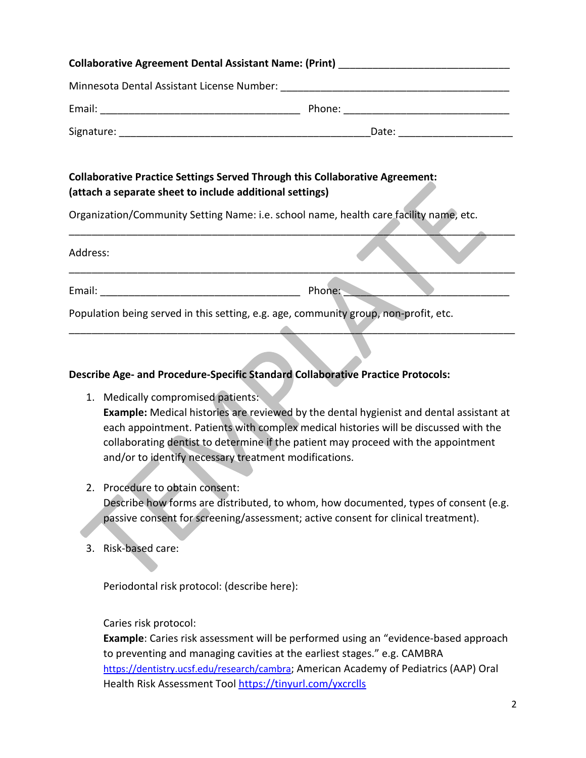| Collaborative Agreement Dental Assistant Name: (Print) _________________________                                                                |  |  |
|-------------------------------------------------------------------------------------------------------------------------------------------------|--|--|
|                                                                                                                                                 |  |  |
|                                                                                                                                                 |  |  |
|                                                                                                                                                 |  |  |
|                                                                                                                                                 |  |  |
| <b>Collaborative Practice Settings Served Through this Collaborative Agreement:</b><br>(attach a separate sheet to include additional settings) |  |  |
| Organization/Community Setting Name: i.e. school name, health care facility name, etc.                                                          |  |  |
| Address:                                                                                                                                        |  |  |
|                                                                                                                                                 |  |  |
| Population being served in this setting, e.g. age, community group, non-profit, etc.                                                            |  |  |

## **Describe Age- and Procedure-Specific Standard Collaborative Practice Protocols:**

- 1. Medically compromised patients: **Example:** Medical histories are reviewed by the dental hygienist and dental assistant at each appointment. Patients with complex medical histories will be discussed with the collaborating dentist to determine if the patient may proceed with the appointment and/or to identify necessary treatment modifications.
- 2. Procedure to obtain consent: Describe how forms are distributed, to whom, how documented, types of consent (e.g. passive consent for screening/assessment; active consent for clinical treatment).
- 3. Risk-based care:

Periodontal risk protocol: (describe here):

Caries risk protocol:

**Example**: Caries risk assessment will be performed using an "evidence-based approach to preventing and managing cavities at the earliest stages." e.g. CAMBRA [https://dentistry.ucsf.edu/research/cambra;](https://dentistry.ucsf.edu/research/cambra) American Academy of Pediatrics (AAP) Oral Health Risk Assessment Tool<https://tinyurl.com/yxcrclls>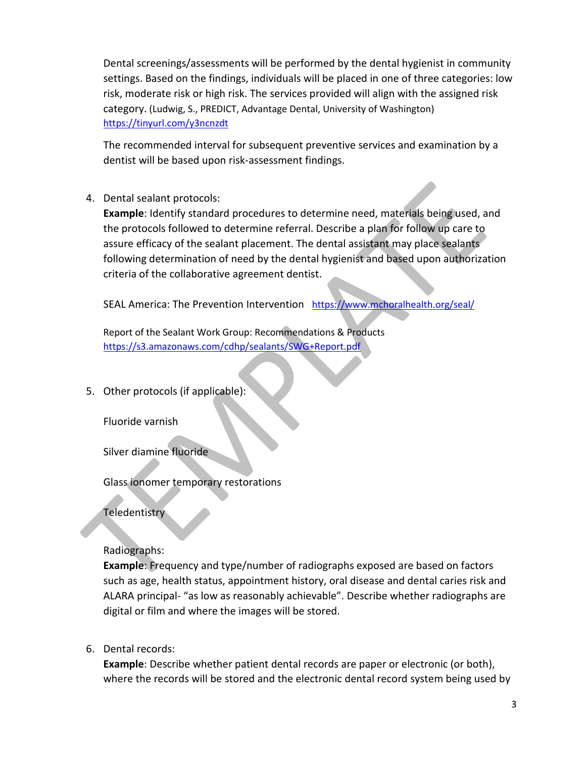Dental screenings/assessments will be performed by the dental hygienist in community settings. Based on the findings, individuals will be placed in one of three categories: low risk, moderate risk or high risk. The services provided will align with the assigned risk category. (Ludwig, S., PREDICT, Advantage Dental, University of Washington) <https://tinyurl.com/y3ncnzdt>

The recommended interval for subsequent preventive services and examination by a dentist will be based upon risk-assessment findings.

## 4. Dental sealant protocols:

**Example**: Identify standard procedures to determine need, materials being used, and the protocols followed to determine referral. Describe a plan for follow up care to assure efficacy of the sealant placement. The dental assistant may place sealants following determination of need by the dental hygienist and based upon authorization criteria of the collaborative agreement dentist.

SEAL America: The Prevention Intervention <https://www.mchoralhealth.org/seal/>

Report of the Sealant Work Group: Recommendations & Products <https://s3.amazonaws.com/cdhp/sealants/SWG+Report.pdf>

5. Other protocols (if applicable):

Fluoride varnish

Silver diamine fluoride

Glass ionomer temporary restorations

**Teledentistry** 

Radiographs:

**Example**: Frequency and type/number of radiographs exposed are based on factors such as age, health status, appointment history, oral disease and dental caries risk and ALARA principal- "as low as reasonably achievable". Describe whether radiographs are digital or film and where the images will be stored.

6. Dental records:

**Example**: Describe whether patient dental records are paper or electronic (or both), where the records will be stored and the electronic dental record system being used by